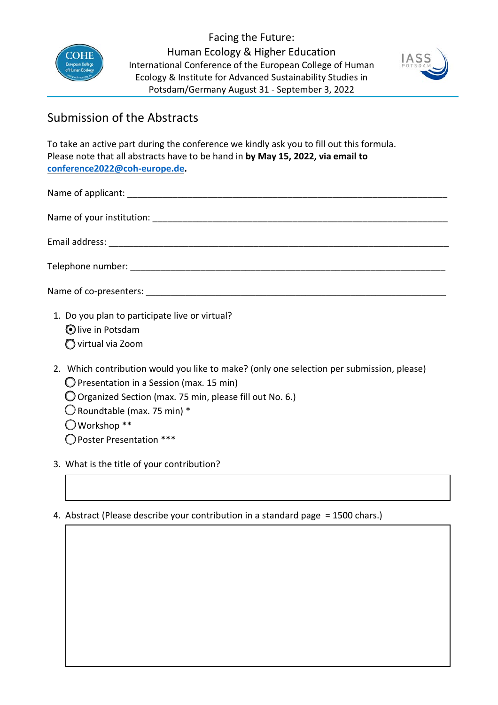

Facing the Future: Human Ecology & Higher Education International Conference of the European College of Human Ecology & Institute for Advanced Sustainability Studies in Potsdam/Germany August 31 - September 3, 2022



## Submission of the Abstracts

To take an active part during the conference we kindly ask you to fill out this formula. Please note that all abstracts have to be hand in **by May 15, 2022, via email to [conference2022@coh-europe.de.](mailto:conference2022@coh-europe.de?subject=Abstract%20Facing%20the%20Future%20|%20Conference%202022,%20COH-Europe)** 

| 1. Do you plan to participate live or virtual?<br>alive in Detedam |
|--------------------------------------------------------------------|

- Olive in Potsdam
- □virtual via Zoom
- 2. Which contribution would you like to make? (only one selection per submission, please)
	- $\bigcirc$  Presentation in a Session (max. 15 min)
	- □ Organized Section (max. 75 min, please fill out No. 6.)
	- $\bigcirc$  Roundtable (max. 75 min) \*
	- $\bigcirc$  Workshop \*\*
	- □Poster Presentation \*\*\*
- 3. What is the title of your contribution?

## 4. Abstract (Please describe your contribution in a standard page = 1500 chars.)